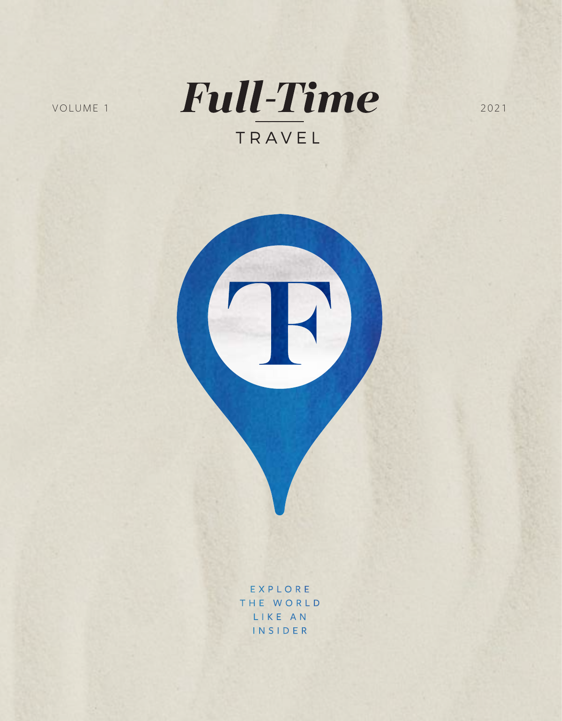

EXPLORE THE WORLD LIKE AN INSIDER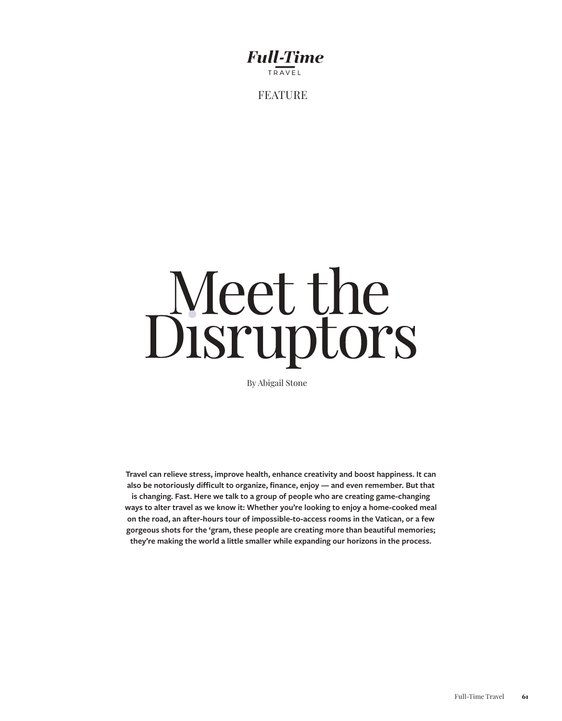## **Full-Time** TRAVEL

FEATURE

## Meet the<br>Disruptors

By Abigail Stone

**Travel can relieve stress, improve health, enhance creativity and boost happiness. It can also be notoriously difficult to organize, finance, enjoy — and even remember. But that is changing. Fast. Here we talk to a group of people who are creating game-changing ways to alter travel as we know it: Whether you're looking to enjoy a home-cooked meal on the road, an after-hours tour of impossible-to-access rooms in the Vatican, or a few gorgeous shots for the 'gram, these people are creating more than beautiful memories; they're making the world a little smaller while expanding our horizons in the process.**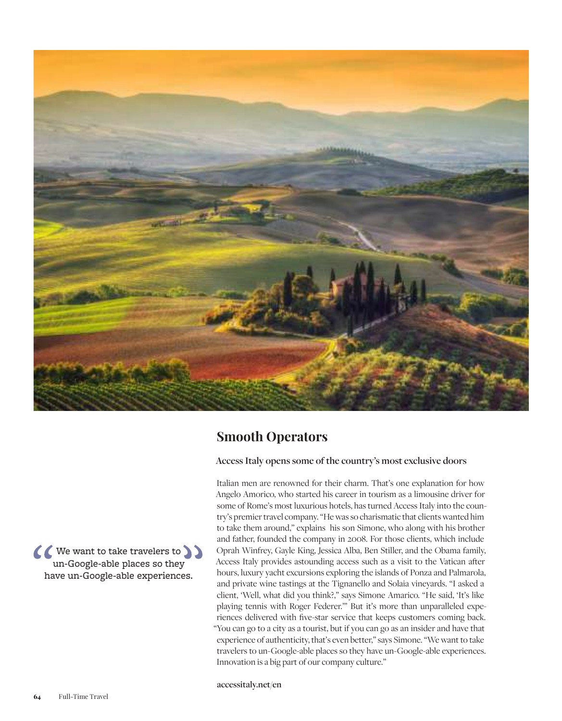

## **Smooth Operators**

Access Italy opens some of the country's most exclusive doors

Italian men are renowned for their charm. That's one explanation for how Angelo Amorico, who started his career in tourism as a limousine driver for some of Rome's most luxurious hotels, has turned Access Italy into the country's premier travel company. "He was so charismatic that clients wanted him to take them around," explains his son Simone, who along with his brother and father, founded the company in 2008. For those clients, which include Oprah Winfrey, Gayle King, Jessica Alba, Ben Stiller, and the Obama family, Access Italy provides astounding access such as a visit to the Vatican after hours, luxury yacht excursions exploring the islands of Ponza and Palmarola, and private wine tastings at the Tignanello and Solaia vineyards. "I asked a client, 'Well, what did you think?," says Simone Amarico. "He said, 'It's like playing tennis with Roger Federer." But it's more than unparalleled experiences delivered with five-star service that keeps customers coming back. "You can go to a city as a tourist, but if you can go as an insider and have that experience of authenticity, that's even better," says Simone. "We want to take travelers to un-Google-able places so they have un-Google-able experiences. Innovation is a big part of our company culture."

accessitaly.net/en

( We want to take travelers to un-Google-able places so they have un-Google-able experiences.